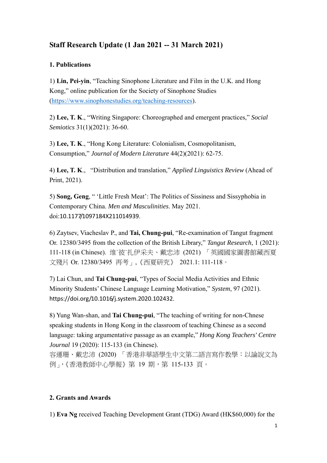# **Staff Research Update (1 Jan 2021 -- 31 March 2021)**

### **1. Publications**

1) **Lin, Pei-yin**, "Teaching Sinophone Literature and Film in the U.K. and Hong Kong," online publication for the Society of Sinophone Studies (https://www.sinophonestudies.org/teaching-resources).

2) **Lee, T. K**., "Writing Singapore: Choreographed and emergent practices," *Social Semiotics* 31(1)(2021): 36-60.

3) **Lee, T. K**., "Hong Kong Literature: Colonialism, Cosmopolitanism, Consumption," *Journal of Modern Literature* 44(2)(2021): 62-75.

4) **Lee, T. K**., "Distribution and translation," *Applied Linguistics Review* (Ahead of Print, 2021).

5) **Song, Geng**, " 'Little Fresh Meat': The Politics of Sissiness and Sissyphobia in Contemporary China. *Men and Masculinities*. May 2021. doi:10.1177/1097184X211014939.

6) Zaytsev, Viacheslav P., and **Tai, Chung-pui**, "Re-examination of Tangut fragment Or. 12380/3495 from the collection of the British Library," *Tangut Research*, 1 (2021): 111-118 (in Chinese). 维˙彼˙扎伊采夫、戴忠沛 (2021) 「英國國家圖書館藏西夏 文殘片 Or. 12380/3495 再考」,《西夏研究》 2021.1: 111-118。

7) Lai Chun, and **Tai Chung-pui**, "Types of Social Media Activities and Ethnic Minority Students' Chinese Language Learning Motivation," *System*, 97 (2021). https://doi.org/10.1016/j.system.2020.102432.

8) Yung Wan-shan, and **Tai Chung-pui**, "The teaching of writing for non-Chnese speaking students in Hong Kong in the classroom of teaching Chinese as a second language: taking argumentative passage as an example," *Hong Kong Teachers' Centre Journal* 19 (2020): 115-133 (in Chinese).

容運珊、戴忠沛 (2020) 「香港非華語學生中文第二語言寫作教學:以論說文為 例」,《香港教師中心學報》第 19 期,第 115-133 頁。

#### **2. Grants and Awards**

1) **Eva Ng** received Teaching Development Grant (TDG) Award (HK\$60,000) for the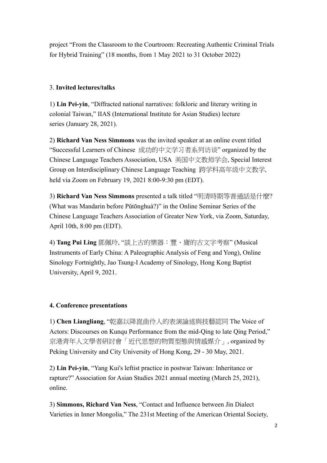project "From the Classroom to the Courtroom: Recreating Authentic Criminal Trials for Hybrid Training" (18 months, from 1 May 2021 to 31 October 2022)

## 3. **Invited lectures/talks**

1) **Lin Pei-yin**, "Diffracted national narratives: folkloric and literary writing in colonial Taiwan," IIAS (International Institute for Asian Studies) lecture series (January 28, 2021).

2) **Richard Van Ness Simmons** was the invited speaker at an online event titled "Successful Learners of Chinese 成功的中文学习者系列访谈" organized by the Chinese Language Teachers Association, USA 美国中文教师学会, Special Interest Group on Interdisciplinary Chinese Language Teaching 跨学科高年级中文教学, held via Zoom on February 19, 2021 8:00-9:30 pm (EDT).

3) **Richard Van Ness Simmons** presented a talk titled "明清時期等普通話是什麼? (What was Mandarin before Pǔtōnghuà?)" in the Online Seminar Series of the Chinese Language Teachers Association of Greater New York, via Zoom, Saturday, April 10th, 8:00 pm (EDT).

4) **Tang Pui Ling** 鄧佩玲, "談上古的樂器:豐、庸的古文字考察" (Musical Instruments of Early China: A Paleographic Analysis of Feng and Yong), Online Sinology Fortnightly, Jao Tsung-I Academy of Sinology, Hong Kong Baptist University, April 9, 2021.

# **4. Conference presentations**

1) **Chen Liangliang**, "乾嘉以降崑曲伶人的表演論述與技藝認同 The Voice of Actors: Discourses on Kunqu Performance from the mid-Qing to late Qing Period," 京港青年人文學者研討會「近代思想的物質型態與情感媒介」, organized by Peking University and City University of Hong Kong, 29 - 30 May, 2021.

2) **Lin Pei-yin**, "Yang Kui's leftist practice in postwar Taiwan: Inheritance or rapture?" Association for Asian Studies 2021 annual meeting (March 25, 2021), online.

3) **Simmons, Richard Van Ness**, "Contact and Influence between Jìn Dialect Varieties in Inner Mongolia," The 231st Meeting of the American Oriental Society,